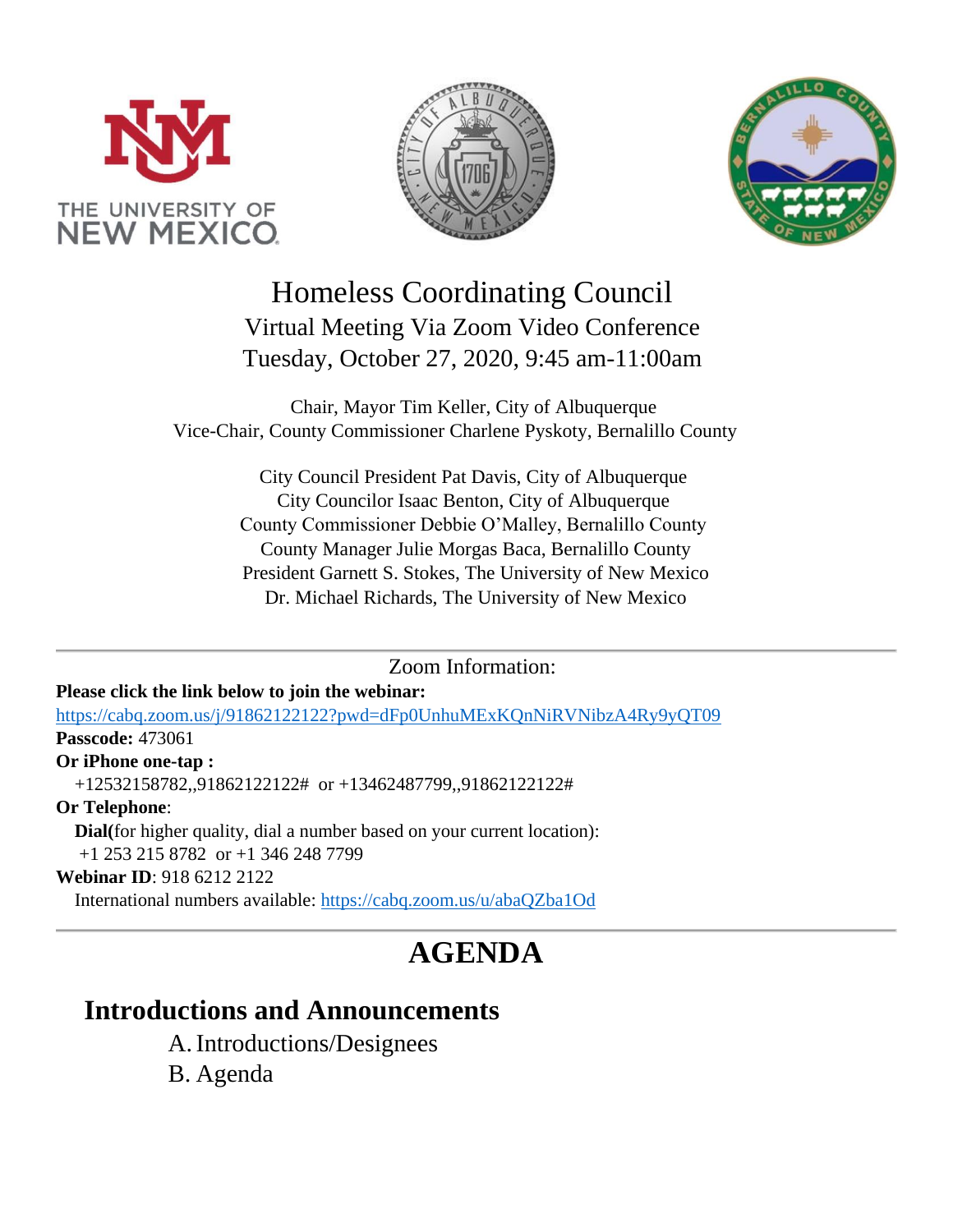





Homeless Coordinating Council Virtual Meeting Via Zoom Video Conference Tuesday, October 27, 2020, 9:45 am-11:00am

Chair, Mayor Tim Keller, City of Albuquerque Vice-Chair, County Commissioner Charlene Pyskoty, Bernalillo County

> City Council President Pat Davis, City of Albuquerque City Councilor Isaac Benton, City of Albuquerque County Commissioner Debbie O'Malley, Bernalillo County County Manager Julie Morgas Baca, Bernalillo County President Garnett S. Stokes, The University of New Mexico Dr. Michael Richards, The University of New Mexico

> > Zoom Information:

## **Please click the link below to join the webinar:**

<https://cabq.zoom.us/j/91862122122?pwd=dFp0UnhuMExKQnNiRVNibzA4Ry9yQT09> **Passcode:** 473061

## **Or iPhone one-tap :**

+12532158782,,91862122122# or +13462487799,,91862122122#

**Or Telephone**:

**Dial(**for higher quality, dial a number based on your current location):

+1 253 215 8782 or +1 346 248 7799

#### **Webinar ID**: 918 6212 2122

International numbers available:<https://cabq.zoom.us/u/abaQZba1Od>

# **AGENDA**

## **Introductions and Announcements**

A.Introductions/Designees

B. Agenda